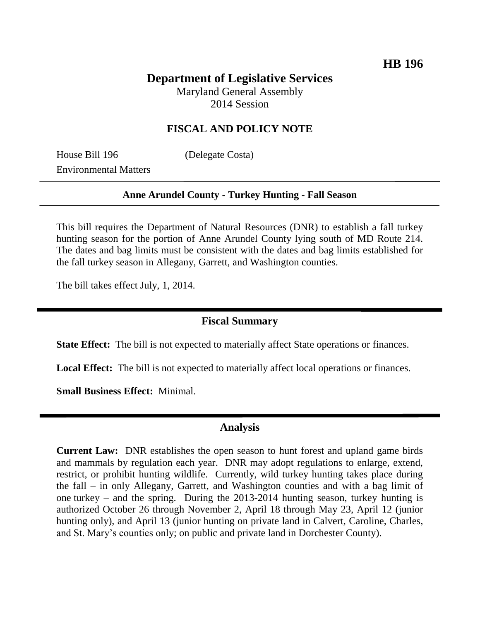# **Department of Legislative Services**

Maryland General Assembly 2014 Session

## **FISCAL AND POLICY NOTE**

House Bill 196 (Delegate Costa) Environmental Matters

#### **Anne Arundel County - Turkey Hunting - Fall Season**

This bill requires the Department of Natural Resources (DNR) to establish a fall turkey hunting season for the portion of Anne Arundel County lying south of MD Route 214. The dates and bag limits must be consistent with the dates and bag limits established for the fall turkey season in Allegany, Garrett, and Washington counties.

The bill takes effect July, 1, 2014.

### **Fiscal Summary**

**State Effect:** The bill is not expected to materially affect State operations or finances.

**Local Effect:** The bill is not expected to materially affect local operations or finances.

**Small Business Effect:** Minimal.

## **Analysis**

**Current Law:** DNR establishes the open season to hunt forest and upland game birds and mammals by regulation each year. DNR may adopt regulations to enlarge, extend, restrict, or prohibit hunting wildlife. Currently, wild turkey hunting takes place during the fall – in only Allegany, Garrett, and Washington counties and with a bag limit of one turkey – and the spring. During the 2013-2014 hunting season, turkey hunting is authorized October 26 through November 2, April 18 through May 23, April 12 (junior hunting only), and April 13 (junior hunting on private land in Calvert, Caroline, Charles, and St. Mary's counties only; on public and private land in Dorchester County).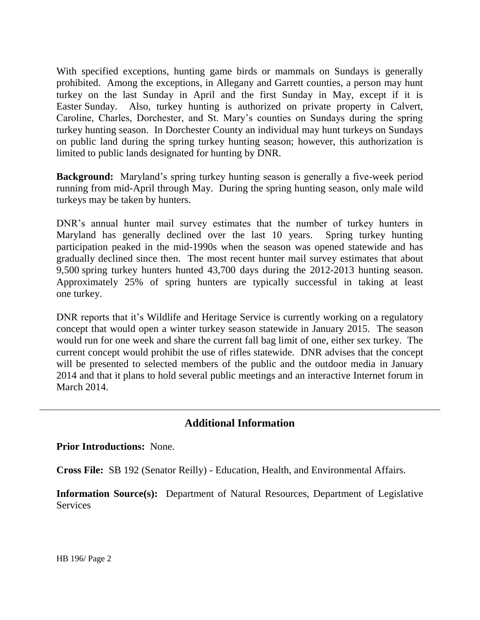With specified exceptions, hunting game birds or mammals on Sundays is generally prohibited. Among the exceptions, in Allegany and Garrett counties, a person may hunt turkey on the last Sunday in April and the first Sunday in May, except if it is Easter Sunday. Also, turkey hunting is authorized on private property in Calvert, Caroline, Charles, Dorchester, and St. Mary's counties on Sundays during the spring turkey hunting season. In Dorchester County an individual may hunt turkeys on Sundays on public land during the spring turkey hunting season; however, this authorization is limited to public lands designated for hunting by DNR.

**Background:** Maryland's spring turkey hunting season is generally a five-week period running from mid-April through May. During the spring hunting season, only male wild turkeys may be taken by hunters.

DNR's annual hunter mail survey estimates that the number of turkey hunters in Maryland has generally declined over the last 10 years. Spring turkey hunting participation peaked in the mid-1990s when the season was opened statewide and has gradually declined since then. The most recent hunter mail survey estimates that about 9,500 spring turkey hunters hunted 43,700 days during the 2012-2013 hunting season. Approximately 25% of spring hunters are typically successful in taking at least one turkey.

DNR reports that it's Wildlife and Heritage Service is currently working on a regulatory concept that would open a winter turkey season statewide in January 2015. The season would run for one week and share the current fall bag limit of one, either sex turkey. The current concept would prohibit the use of rifles statewide. DNR advises that the concept will be presented to selected members of the public and the outdoor media in January 2014 and that it plans to hold several public meetings and an interactive Internet forum in March 2014.

# **Additional Information**

#### **Prior Introductions:** None.

**Cross File:** SB 192 (Senator Reilly) - Education, Health, and Environmental Affairs.

**Information Source(s):** Department of Natural Resources, Department of Legislative **Services**